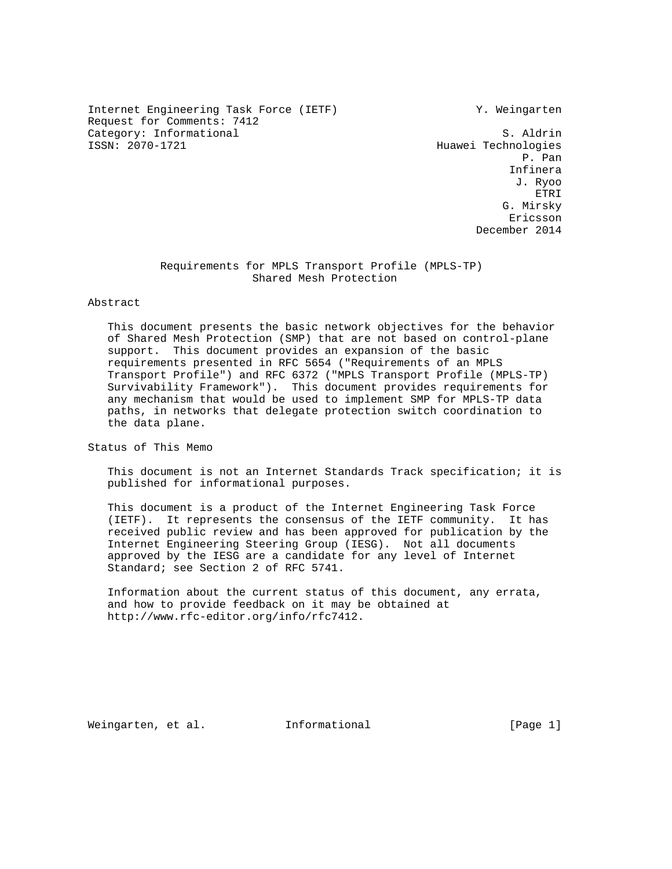Internet Engineering Task Force (IETF) Y. Weingarten Request for Comments: 7412 Category: Informational S. Aldrin

Huawei Technologies P. Pan Infinera J. Ryoo ETRI G. Mirsky eric and the contract of the contract of the contract of the contract of the contract of the contract of the contract of the contract of the contract of the contract of the contract of the contract of the contract of the c December 2014

## Requirements for MPLS Transport Profile (MPLS-TP) Shared Mesh Protection

#### Abstract

 This document presents the basic network objectives for the behavior of Shared Mesh Protection (SMP) that are not based on control-plane support. This document provides an expansion of the basic requirements presented in RFC 5654 ("Requirements of an MPLS Transport Profile") and RFC 6372 ("MPLS Transport Profile (MPLS-TP) Survivability Framework"). This document provides requirements for any mechanism that would be used to implement SMP for MPLS-TP data paths, in networks that delegate protection switch coordination to the data plane.

Status of This Memo

 This document is not an Internet Standards Track specification; it is published for informational purposes.

 This document is a product of the Internet Engineering Task Force (IETF). It represents the consensus of the IETF community. It has received public review and has been approved for publication by the Internet Engineering Steering Group (IESG). Not all documents approved by the IESG are a candidate for any level of Internet Standard; see Section 2 of RFC 5741.

 Information about the current status of this document, any errata, and how to provide feedback on it may be obtained at http://www.rfc-editor.org/info/rfc7412.

Weingarten, et al. 1nformational 1999 [Page 1]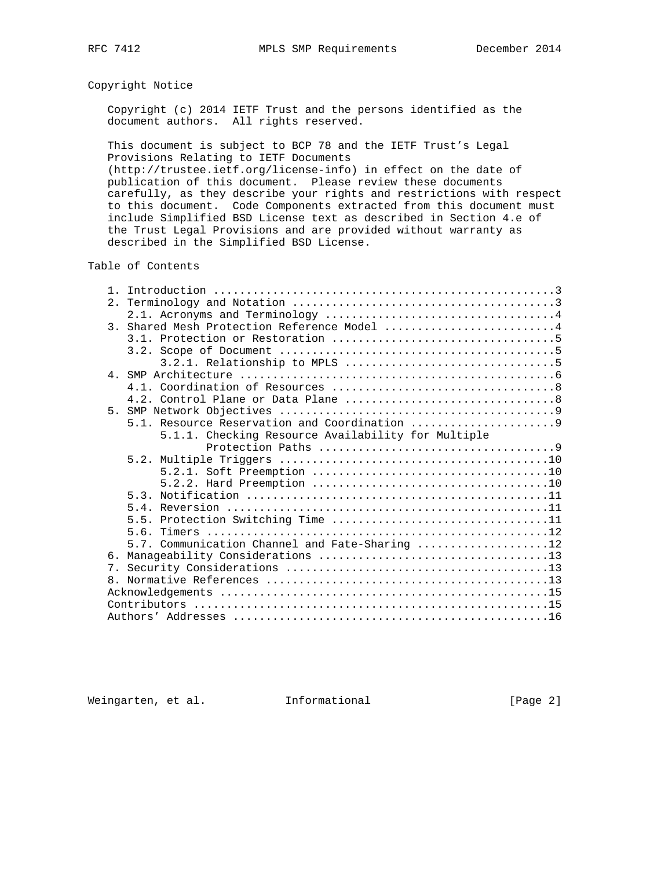## Copyright Notice

 Copyright (c) 2014 IETF Trust and the persons identified as the document authors. All rights reserved.

 This document is subject to BCP 78 and the IETF Trust's Legal Provisions Relating to IETF Documents

 (http://trustee.ietf.org/license-info) in effect on the date of publication of this document. Please review these documents carefully, as they describe your rights and restrictions with respect to this document. Code Components extracted from this document must include Simplified BSD License text as described in Section 4.e of the Trust Legal Provisions and are provided without warranty as described in the Simplified BSD License.

### Table of Contents

|              | 3. Shared Mesh Protection Reference Model 4        |
|--------------|----------------------------------------------------|
|              |                                                    |
|              |                                                    |
|              |                                                    |
|              |                                                    |
|              |                                                    |
|              |                                                    |
|              |                                                    |
|              | 5.1. Resource Reservation and Coordination 9       |
|              | 5.1.1. Checking Resource Availability for Multiple |
|              |                                                    |
|              |                                                    |
|              |                                                    |
|              |                                                    |
|              |                                                    |
|              |                                                    |
|              | 5.5. Protection Switching Time 11                  |
|              |                                                    |
|              | 5.7. Communication Channel and Fate-Sharing 12     |
| რ.           |                                                    |
|              |                                                    |
| $\mathsf{R}$ |                                                    |
|              |                                                    |
|              |                                                    |
|              |                                                    |
|              |                                                    |

Weingarten, et al. Informational [Page 2]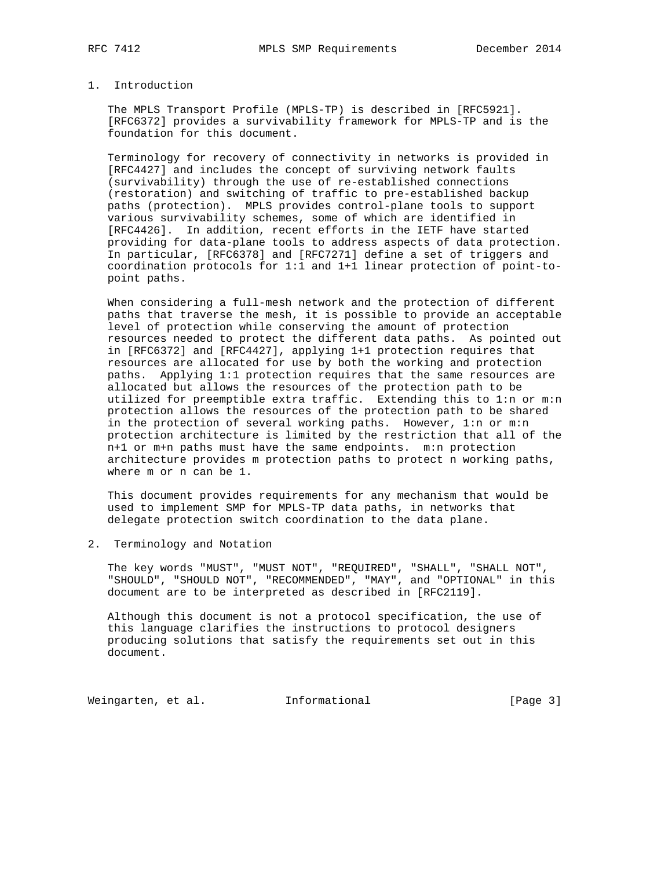## 1. Introduction

 The MPLS Transport Profile (MPLS-TP) is described in [RFC5921]. [RFC6372] provides a survivability framework for MPLS-TP and is the foundation for this document.

 Terminology for recovery of connectivity in networks is provided in [RFC4427] and includes the concept of surviving network faults (survivability) through the use of re-established connections (restoration) and switching of traffic to pre-established backup paths (protection). MPLS provides control-plane tools to support various survivability schemes, some of which are identified in [RFC4426]. In addition, recent efforts in the IETF have started providing for data-plane tools to address aspects of data protection. In particular, [RFC6378] and [RFC7271] define a set of triggers and coordination protocols for 1:1 and 1+1 linear protection of point-to point paths.

 When considering a full-mesh network and the protection of different paths that traverse the mesh, it is possible to provide an acceptable level of protection while conserving the amount of protection resources needed to protect the different data paths. As pointed out in [RFC6372] and [RFC4427], applying 1+1 protection requires that resources are allocated for use by both the working and protection paths. Applying 1:1 protection requires that the same resources are allocated but allows the resources of the protection path to be utilized for preemptible extra traffic. Extending this to 1:n or m:n protection allows the resources of the protection path to be shared in the protection of several working paths. However, 1:n or m:n protection architecture is limited by the restriction that all of the n+1 or m+n paths must have the same endpoints. m:n protection architecture provides m protection paths to protect n working paths, where m or n can be 1.

 This document provides requirements for any mechanism that would be used to implement SMP for MPLS-TP data paths, in networks that delegate protection switch coordination to the data plane.

#### 2. Terminology and Notation

 The key words "MUST", "MUST NOT", "REQUIRED", "SHALL", "SHALL NOT", "SHOULD", "SHOULD NOT", "RECOMMENDED", "MAY", and "OPTIONAL" in this document are to be interpreted as described in [RFC2119].

 Although this document is not a protocol specification, the use of this language clarifies the instructions to protocol designers producing solutions that satisfy the requirements set out in this document.

Weingarten, et al. 1nformational 1999 [Page 3]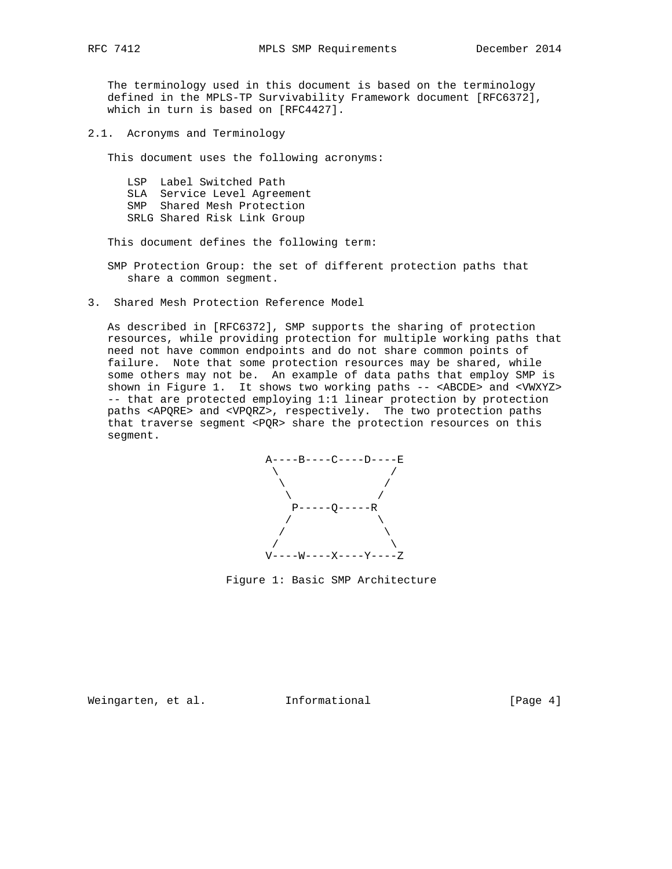The terminology used in this document is based on the terminology defined in the MPLS-TP Survivability Framework document [RFC6372], which in turn is based on [RFC4427].

2.1. Acronyms and Terminology

This document uses the following acronyms:

 LSP Label Switched Path SLA Service Level Agreement SMP Shared Mesh Protection SRLG Shared Risk Link Group

This document defines the following term:

 SMP Protection Group: the set of different protection paths that share a common segment.

3. Shared Mesh Protection Reference Model

 As described in [RFC6372], SMP supports the sharing of protection resources, while providing protection for multiple working paths that need not have common endpoints and do not share common points of failure. Note that some protection resources may be shared, while some others may not be. An example of data paths that employ SMP is shown in Figure 1. It shows two working paths -- <ABCDE> and <VWXYZ> -- that are protected employing 1:1 linear protection by protection paths <APQRE> and <VPQRZ>, respectively. The two protection paths that traverse segment <PQR> share the protection resources on this segment.



Figure 1: Basic SMP Architecture

Weingarten, et al. 1nformational 1999 [Page 4]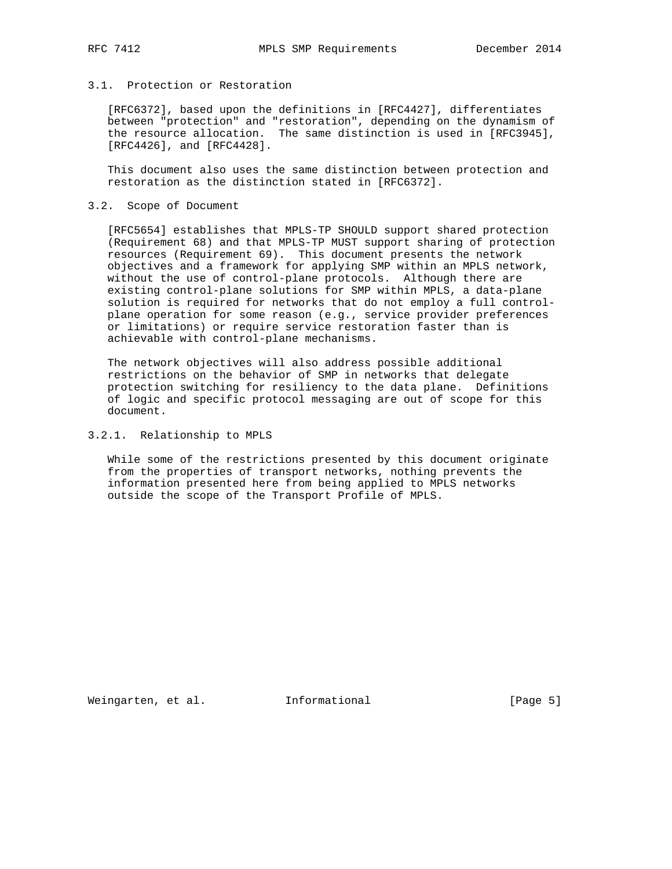# 3.1. Protection or Restoration

 [RFC6372], based upon the definitions in [RFC4427], differentiates between "protection" and "restoration", depending on the dynamism of the resource allocation. The same distinction is used in [RFC3945], [RFC4426], and [RFC4428].

 This document also uses the same distinction between protection and restoration as the distinction stated in [RFC6372].

#### 3.2. Scope of Document

 [RFC5654] establishes that MPLS-TP SHOULD support shared protection (Requirement 68) and that MPLS-TP MUST support sharing of protection resources (Requirement 69). This document presents the network objectives and a framework for applying SMP within an MPLS network, without the use of control-plane protocols. Although there are existing control-plane solutions for SMP within MPLS, a data-plane solution is required for networks that do not employ a full control plane operation for some reason (e.g., service provider preferences or limitations) or require service restoration faster than is achievable with control-plane mechanisms.

 The network objectives will also address possible additional restrictions on the behavior of SMP in networks that delegate protection switching for resiliency to the data plane. Definitions of logic and specific protocol messaging are out of scope for this document.

# 3.2.1. Relationship to MPLS

 While some of the restrictions presented by this document originate from the properties of transport networks, nothing prevents the information presented here from being applied to MPLS networks outside the scope of the Transport Profile of MPLS.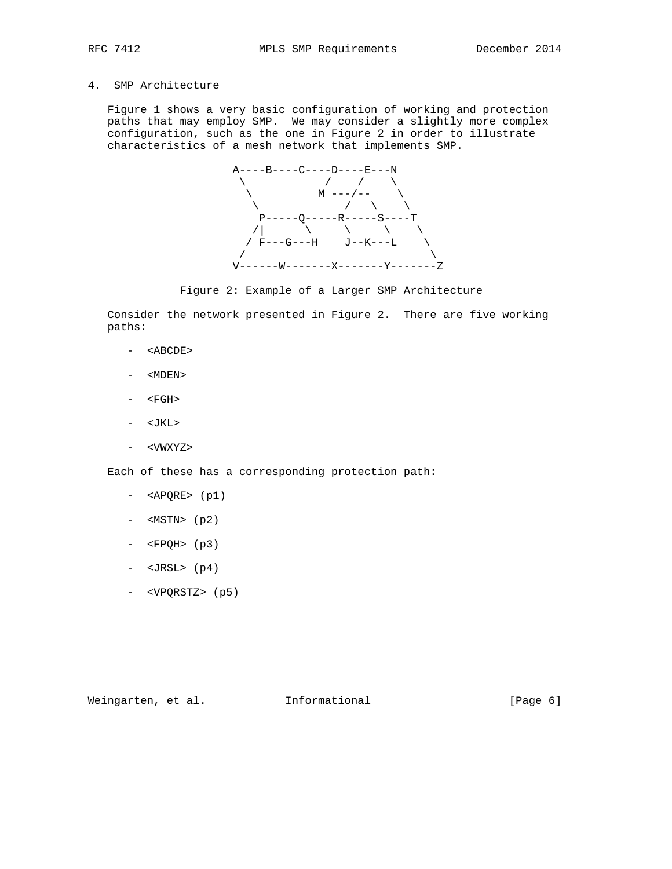# 4. SMP Architecture

 Figure 1 shows a very basic configuration of working and protection paths that may employ SMP. We may consider a slightly more complex configuration, such as the one in Figure 2 in order to illustrate characteristics of a mesh network that implements SMP.



Figure 2: Example of a Larger SMP Architecture

 Consider the network presented in Figure 2. There are five working paths:

- <ABCDE>
- <MDEN>
- $<$  FGH $>$
- <JKL>
- <VWXYZ>

Each of these has a corresponding protection path:

- <APQRE> (p1)
- <MSTN> (p2)
- $-$  <FPQH> (p3)
- <JRSL> (p4)
- <VPQRSTZ> (p5)

Weingarten, et al. 1nformational 1999 [Page 6]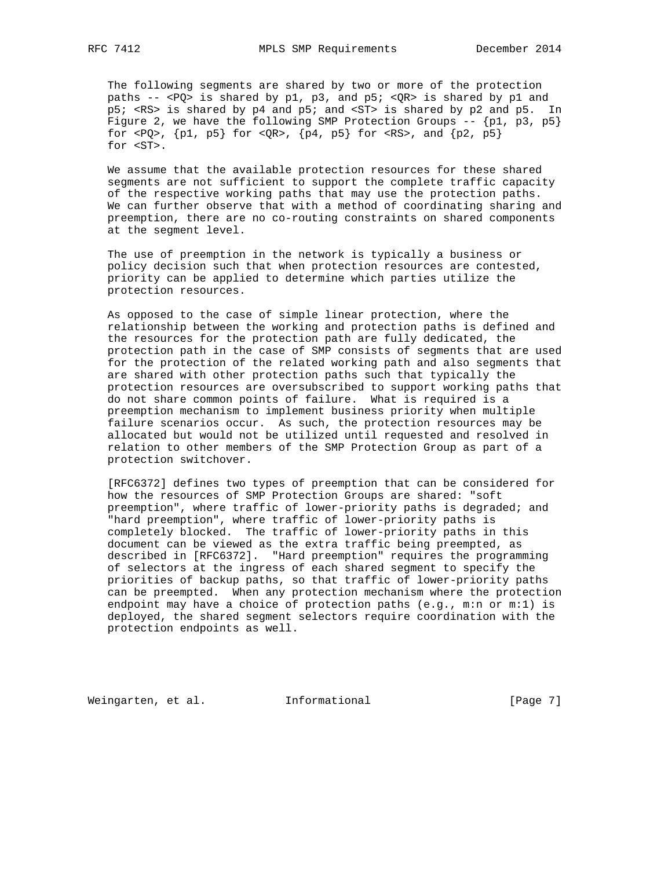The following segments are shared by two or more of the protection paths  $-$  <PQ> is shared by p1, p3, and p5; <QR> is shared by p1 and p5; <RS> is shared by p4 and p5; and <ST> is shared by p2 and p5. In Figure 2, we have the following SMP Protection Groups --  $\{p1, p3, p5\}$ for  $PQ$ ,  ${p1, p5}$  for  $QR$ ,  ${p4, p5}$  for  $RRS$ , and  ${p2, p5}$ for <ST>.

 We assume that the available protection resources for these shared segments are not sufficient to support the complete traffic capacity of the respective working paths that may use the protection paths. We can further observe that with a method of coordinating sharing and preemption, there are no co-routing constraints on shared components at the segment level.

 The use of preemption in the network is typically a business or policy decision such that when protection resources are contested, priority can be applied to determine which parties utilize the protection resources.

 As opposed to the case of simple linear protection, where the relationship between the working and protection paths is defined and the resources for the protection path are fully dedicated, the protection path in the case of SMP consists of segments that are used for the protection of the related working path and also segments that are shared with other protection paths such that typically the protection resources are oversubscribed to support working paths that do not share common points of failure. What is required is a preemption mechanism to implement business priority when multiple failure scenarios occur. As such, the protection resources may be allocated but would not be utilized until requested and resolved in relation to other members of the SMP Protection Group as part of a protection switchover.

 [RFC6372] defines two types of preemption that can be considered for how the resources of SMP Protection Groups are shared: "soft preemption", where traffic of lower-priority paths is degraded; and "hard preemption", where traffic of lower-priority paths is completely blocked. The traffic of lower-priority paths in this document can be viewed as the extra traffic being preempted, as described in [RFC6372]. "Hard preemption" requires the programming of selectors at the ingress of each shared segment to specify the priorities of backup paths, so that traffic of lower-priority paths can be preempted. When any protection mechanism where the protection endpoint may have a choice of protection paths (e.g., m:n or m:1) is deployed, the shared segment selectors require coordination with the protection endpoints as well.

Weingarten, et al. Informational [Page 7]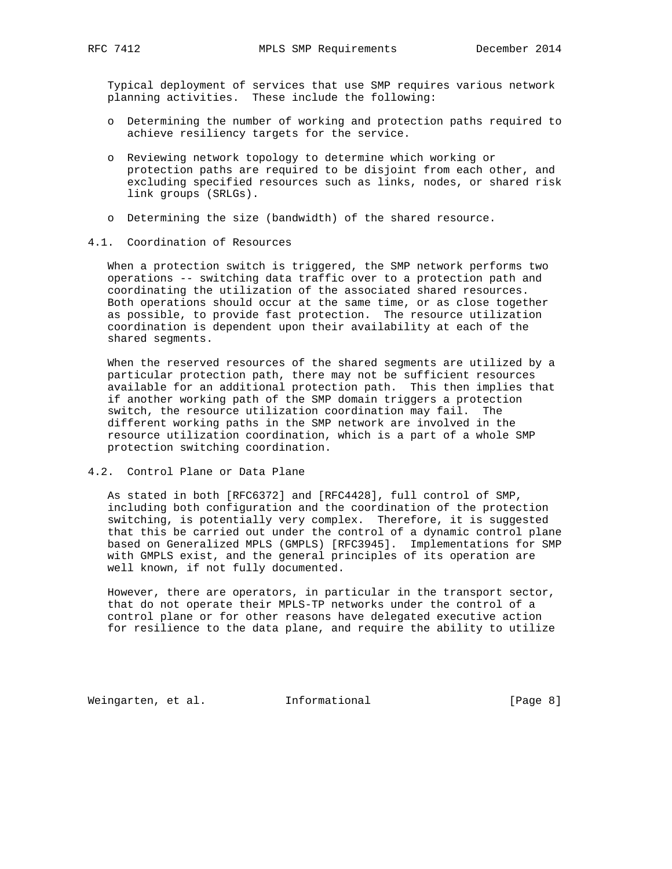Typical deployment of services that use SMP requires various network planning activities. These include the following:

- o Determining the number of working and protection paths required to achieve resiliency targets for the service.
- o Reviewing network topology to determine which working or protection paths are required to be disjoint from each other, and excluding specified resources such as links, nodes, or shared risk link groups (SRLGs).
- o Determining the size (bandwidth) of the shared resource.
- 4.1. Coordination of Resources

 When a protection switch is triggered, the SMP network performs two operations -- switching data traffic over to a protection path and coordinating the utilization of the associated shared resources. Both operations should occur at the same time, or as close together as possible, to provide fast protection. The resource utilization coordination is dependent upon their availability at each of the shared segments.

 When the reserved resources of the shared segments are utilized by a particular protection path, there may not be sufficient resources available for an additional protection path. This then implies that if another working path of the SMP domain triggers a protection switch, the resource utilization coordination may fail. The different working paths in the SMP network are involved in the resource utilization coordination, which is a part of a whole SMP protection switching coordination.

4.2. Control Plane or Data Plane

 As stated in both [RFC6372] and [RFC4428], full control of SMP, including both configuration and the coordination of the protection switching, is potentially very complex. Therefore, it is suggested that this be carried out under the control of a dynamic control plane based on Generalized MPLS (GMPLS) [RFC3945]. Implementations for SMP with GMPLS exist, and the general principles of its operation are well known, if not fully documented.

 However, there are operators, in particular in the transport sector, that do not operate their MPLS-TP networks under the control of a control plane or for other reasons have delegated executive action for resilience to the data plane, and require the ability to utilize

Weingarten, et al. Informational [Page 8]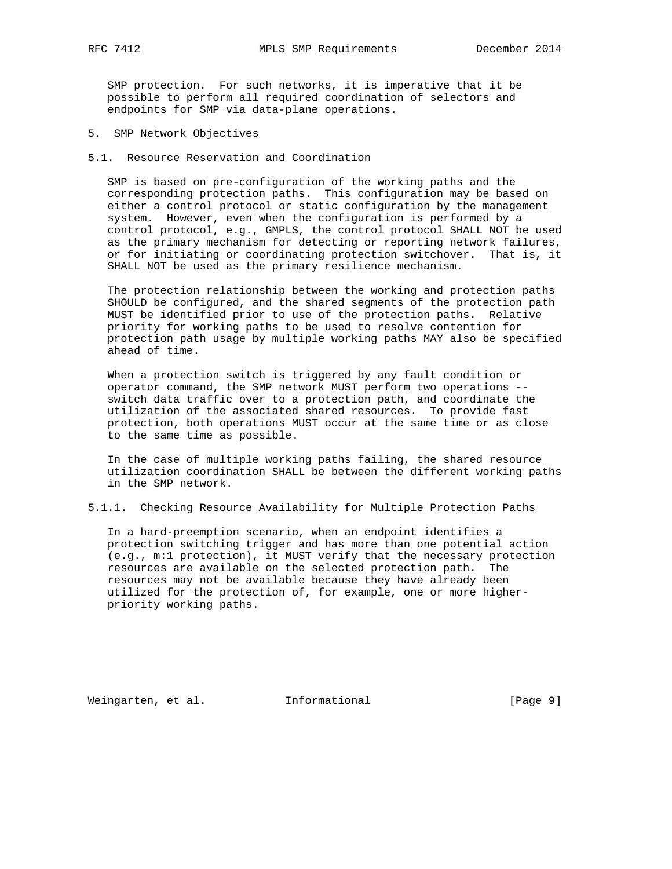SMP protection. For such networks, it is imperative that it be possible to perform all required coordination of selectors and endpoints for SMP via data-plane operations.

5. SMP Network Objectives

5.1. Resource Reservation and Coordination

 SMP is based on pre-configuration of the working paths and the corresponding protection paths. This configuration may be based on either a control protocol or static configuration by the management system. However, even when the configuration is performed by a control protocol, e.g., GMPLS, the control protocol SHALL NOT be used as the primary mechanism for detecting or reporting network failures, or for initiating or coordinating protection switchover. That is, it SHALL NOT be used as the primary resilience mechanism.

 The protection relationship between the working and protection paths SHOULD be configured, and the shared segments of the protection path MUST be identified prior to use of the protection paths. Relative priority for working paths to be used to resolve contention for protection path usage by multiple working paths MAY also be specified ahead of time.

 When a protection switch is triggered by any fault condition or operator command, the SMP network MUST perform two operations - switch data traffic over to a protection path, and coordinate the utilization of the associated shared resources. To provide fast protection, both operations MUST occur at the same time or as close to the same time as possible.

 In the case of multiple working paths failing, the shared resource utilization coordination SHALL be between the different working paths in the SMP network.

5.1.1. Checking Resource Availability for Multiple Protection Paths

 In a hard-preemption scenario, when an endpoint identifies a protection switching trigger and has more than one potential action (e.g., m:1 protection), it MUST verify that the necessary protection resources are available on the selected protection path. The resources may not be available because they have already been utilized for the protection of, for example, one or more higher priority working paths.

Weingarten, et al. 1nformational 1999 [Page 9]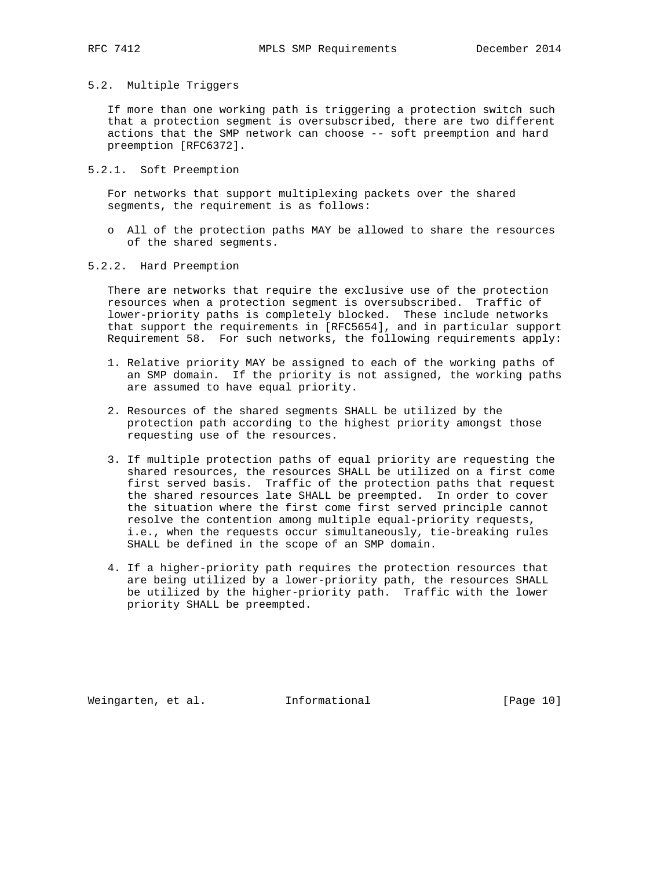## 5.2. Multiple Triggers

 If more than one working path is triggering a protection switch such that a protection segment is oversubscribed, there are two different actions that the SMP network can choose -- soft preemption and hard preemption [RFC6372].

5.2.1. Soft Preemption

 For networks that support multiplexing packets over the shared segments, the requirement is as follows:

- o All of the protection paths MAY be allowed to share the resources of the shared segments.
- 5.2.2. Hard Preemption

 There are networks that require the exclusive use of the protection resources when a protection segment is oversubscribed. Traffic of lower-priority paths is completely blocked. These include networks that support the requirements in [RFC5654], and in particular support Requirement 58. For such networks, the following requirements apply:

- 1. Relative priority MAY be assigned to each of the working paths of an SMP domain. If the priority is not assigned, the working paths are assumed to have equal priority.
- 2. Resources of the shared segments SHALL be utilized by the protection path according to the highest priority amongst those requesting use of the resources.
- 3. If multiple protection paths of equal priority are requesting the shared resources, the resources SHALL be utilized on a first come first served basis. Traffic of the protection paths that request the shared resources late SHALL be preempted. In order to cover the situation where the first come first served principle cannot resolve the contention among multiple equal-priority requests, i.e., when the requests occur simultaneously, tie-breaking rules SHALL be defined in the scope of an SMP domain.
- 4. If a higher-priority path requires the protection resources that are being utilized by a lower-priority path, the resources SHALL be utilized by the higher-priority path. Traffic with the lower priority SHALL be preempted.

Weingarten, et al. 1nformational [Page 10]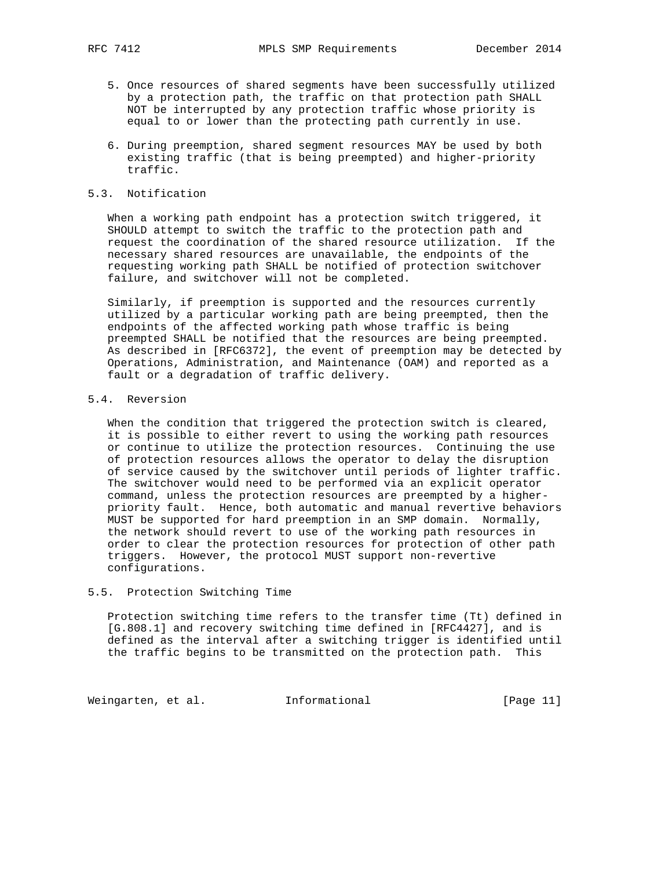- 5. Once resources of shared segments have been successfully utilized by a protection path, the traffic on that protection path SHALL NOT be interrupted by any protection traffic whose priority is equal to or lower than the protecting path currently in use.
- 6. During preemption, shared segment resources MAY be used by both existing traffic (that is being preempted) and higher-priority traffic.

### 5.3. Notification

 When a working path endpoint has a protection switch triggered, it SHOULD attempt to switch the traffic to the protection path and request the coordination of the shared resource utilization. If the necessary shared resources are unavailable, the endpoints of the requesting working path SHALL be notified of protection switchover failure, and switchover will not be completed.

 Similarly, if preemption is supported and the resources currently utilized by a particular working path are being preempted, then the endpoints of the affected working path whose traffic is being preempted SHALL be notified that the resources are being preempted. As described in [RFC6372], the event of preemption may be detected by Operations, Administration, and Maintenance (OAM) and reported as a fault or a degradation of traffic delivery.

# 5.4. Reversion

 When the condition that triggered the protection switch is cleared, it is possible to either revert to using the working path resources or continue to utilize the protection resources. Continuing the use of protection resources allows the operator to delay the disruption of service caused by the switchover until periods of lighter traffic. The switchover would need to be performed via an explicit operator command, unless the protection resources are preempted by a higher priority fault. Hence, both automatic and manual revertive behaviors MUST be supported for hard preemption in an SMP domain. Normally, the network should revert to use of the working path resources in order to clear the protection resources for protection of other path triggers. However, the protocol MUST support non-revertive configurations.

### 5.5. Protection Switching Time

 Protection switching time refers to the transfer time (Tt) defined in [G.808.1] and recovery switching time defined in [RFC4427], and is defined as the interval after a switching trigger is identified until the traffic begins to be transmitted on the protection path. This

Weingarten, et al. 1nformational [Page 11]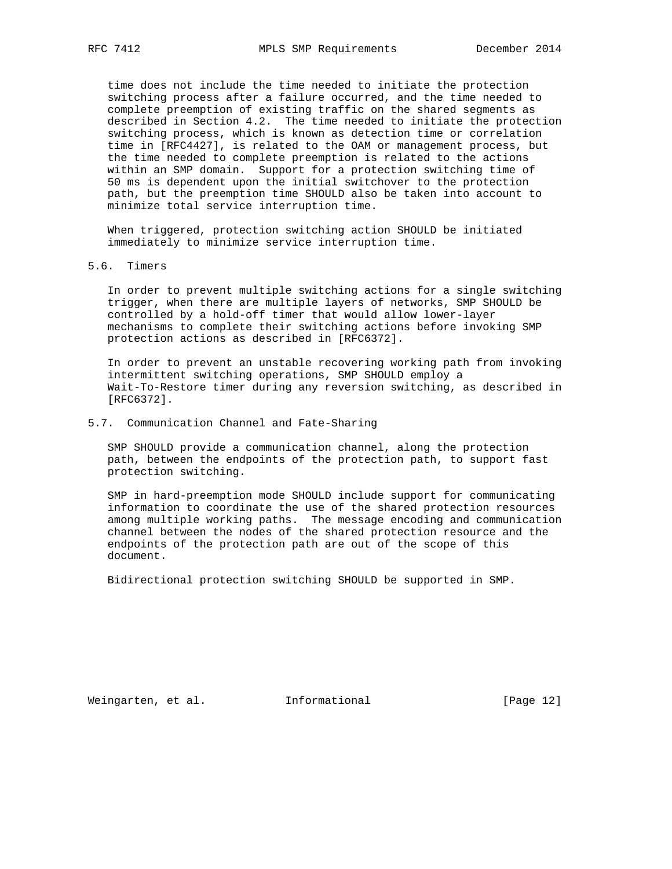time does not include the time needed to initiate the protection switching process after a failure occurred, and the time needed to complete preemption of existing traffic on the shared segments as described in Section 4.2. The time needed to initiate the protection switching process, which is known as detection time or correlation time in [RFC4427], is related to the OAM or management process, but the time needed to complete preemption is related to the actions within an SMP domain. Support for a protection switching time of 50 ms is dependent upon the initial switchover to the protection path, but the preemption time SHOULD also be taken into account to minimize total service interruption time.

 When triggered, protection switching action SHOULD be initiated immediately to minimize service interruption time.

## 5.6. Timers

 In order to prevent multiple switching actions for a single switching trigger, when there are multiple layers of networks, SMP SHOULD be controlled by a hold-off timer that would allow lower-layer mechanisms to complete their switching actions before invoking SMP protection actions as described in [RFC6372].

 In order to prevent an unstable recovering working path from invoking intermittent switching operations, SMP SHOULD employ a Wait-To-Restore timer during any reversion switching, as described in [RFC6372].

#### 5.7. Communication Channel and Fate-Sharing

 SMP SHOULD provide a communication channel, along the protection path, between the endpoints of the protection path, to support fast protection switching.

 SMP in hard-preemption mode SHOULD include support for communicating information to coordinate the use of the shared protection resources among multiple working paths. The message encoding and communication channel between the nodes of the shared protection resource and the endpoints of the protection path are out of the scope of this document.

Bidirectional protection switching SHOULD be supported in SMP.

Weingarten, et al. Informational [Page 12]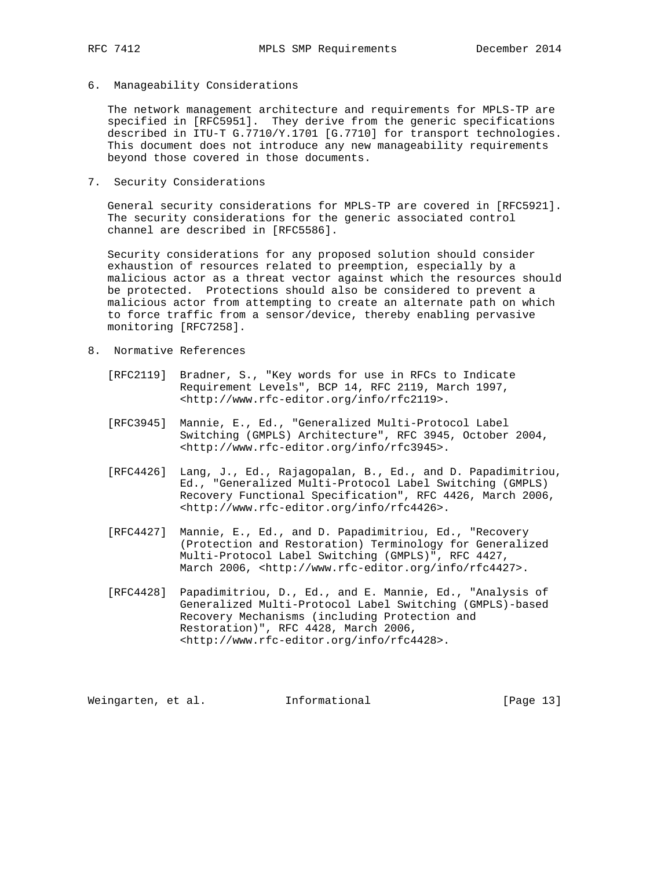6. Manageability Considerations

 The network management architecture and requirements for MPLS-TP are specified in [RFC5951]. They derive from the generic specifications described in ITU-T G.7710/Y.1701 [G.7710] for transport technologies. This document does not introduce any new manageability requirements beyond those covered in those documents.

7. Security Considerations

 General security considerations for MPLS-TP are covered in [RFC5921]. The security considerations for the generic associated control channel are described in [RFC5586].

 Security considerations for any proposed solution should consider exhaustion of resources related to preemption, especially by a malicious actor as a threat vector against which the resources should be protected. Protections should also be considered to prevent a malicious actor from attempting to create an alternate path on which to force traffic from a sensor/device, thereby enabling pervasive monitoring [RFC7258].

- 8. Normative References
	- [RFC2119] Bradner, S., "Key words for use in RFCs to Indicate Requirement Levels", BCP 14, RFC 2119, March 1997, <http://www.rfc-editor.org/info/rfc2119>.
	- [RFC3945] Mannie, E., Ed., "Generalized Multi-Protocol Label Switching (GMPLS) Architecture", RFC 3945, October 2004, <http://www.rfc-editor.org/info/rfc3945>.
	- [RFC4426] Lang, J., Ed., Rajagopalan, B., Ed., and D. Papadimitriou, Ed., "Generalized Multi-Protocol Label Switching (GMPLS) Recovery Functional Specification", RFC 4426, March 2006, <http://www.rfc-editor.org/info/rfc4426>.
	- [RFC4427] Mannie, E., Ed., and D. Papadimitriou, Ed., "Recovery (Protection and Restoration) Terminology for Generalized Multi-Protocol Label Switching (GMPLS)", RFC 4427, March 2006, <http://www.rfc-editor.org/info/rfc4427>.
	- [RFC4428] Papadimitriou, D., Ed., and E. Mannie, Ed., "Analysis of Generalized Multi-Protocol Label Switching (GMPLS)-based Recovery Mechanisms (including Protection and Restoration)", RFC 4428, March 2006, <http://www.rfc-editor.org/info/rfc4428>.

Weingarten, et al. 1nformational 1999 [Page 13]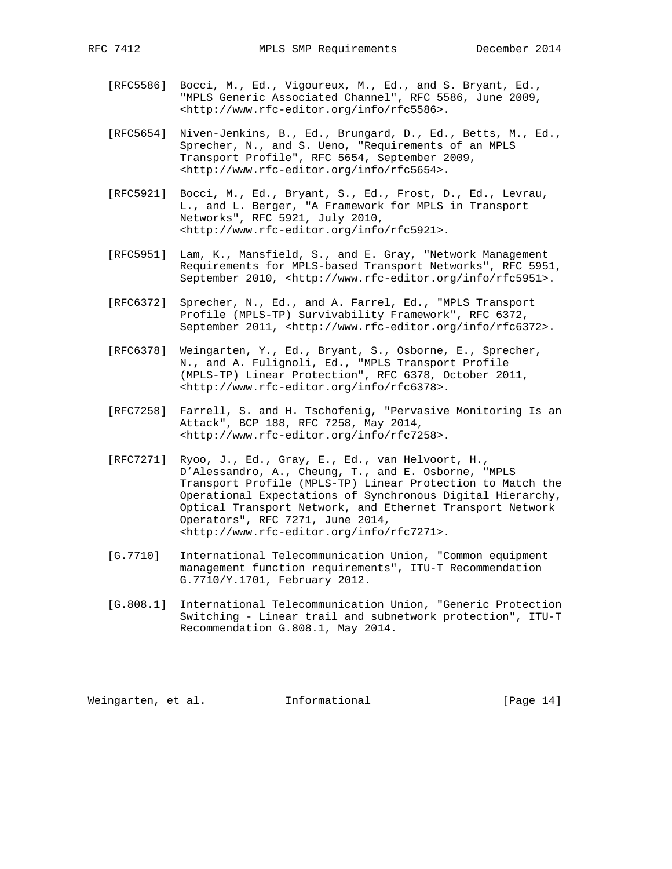- [RFC5586] Bocci, M., Ed., Vigoureux, M., Ed., and S. Bryant, Ed., "MPLS Generic Associated Channel", RFC 5586, June 2009, <http://www.rfc-editor.org/info/rfc5586>.
- [RFC5654] Niven-Jenkins, B., Ed., Brungard, D., Ed., Betts, M., Ed., Sprecher, N., and S. Ueno, "Requirements of an MPLS Transport Profile", RFC 5654, September 2009, <http://www.rfc-editor.org/info/rfc5654>.
- [RFC5921] Bocci, M., Ed., Bryant, S., Ed., Frost, D., Ed., Levrau, L., and L. Berger, "A Framework for MPLS in Transport Networks", RFC 5921, July 2010, <http://www.rfc-editor.org/info/rfc5921>.
- [RFC5951] Lam, K., Mansfield, S., and E. Gray, "Network Management Requirements for MPLS-based Transport Networks", RFC 5951, September 2010, <http://www.rfc-editor.org/info/rfc5951>.
- [RFC6372] Sprecher, N., Ed., and A. Farrel, Ed., "MPLS Transport Profile (MPLS-TP) Survivability Framework", RFC 6372, September 2011, <http://www.rfc-editor.org/info/rfc6372>.
- [RFC6378] Weingarten, Y., Ed., Bryant, S., Osborne, E., Sprecher, N., and A. Fulignoli, Ed., "MPLS Transport Profile (MPLS-TP) Linear Protection", RFC 6378, October 2011, <http://www.rfc-editor.org/info/rfc6378>.
- [RFC7258] Farrell, S. and H. Tschofenig, "Pervasive Monitoring Is an Attack", BCP 188, RFC 7258, May 2014, <http://www.rfc-editor.org/info/rfc7258>.
- [RFC7271] Ryoo, J., Ed., Gray, E., Ed., van Helvoort, H., D'Alessandro, A., Cheung, T., and E. Osborne, "MPLS Transport Profile (MPLS-TP) Linear Protection to Match the Operational Expectations of Synchronous Digital Hierarchy, Optical Transport Network, and Ethernet Transport Network Operators", RFC 7271, June 2014, <http://www.rfc-editor.org/info/rfc7271>.
- [G.7710] International Telecommunication Union, "Common equipment management function requirements", ITU-T Recommendation G.7710/Y.1701, February 2012.
- [G.808.1] International Telecommunication Union, "Generic Protection Switching - Linear trail and subnetwork protection", ITU-T Recommendation G.808.1, May 2014.

Weingarten, et al. 1nformational 1999 [Page 14]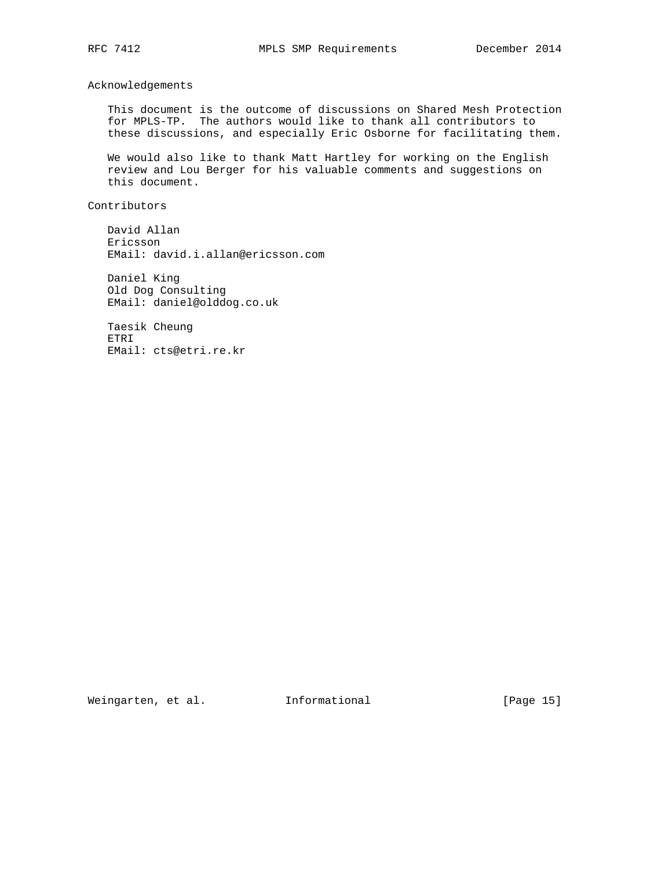Acknowledgements

 This document is the outcome of discussions on Shared Mesh Protection for MPLS-TP. The authors would like to thank all contributors to these discussions, and especially Eric Osborne for facilitating them.

 We would also like to thank Matt Hartley for working on the English review and Lou Berger for his valuable comments and suggestions on this document.

Contributors

 David Allan Ericsson EMail: david.i.allan@ericsson.com

 Daniel King Old Dog Consulting EMail: daniel@olddog.co.uk

 Taesik Cheung ETRI EMail: cts@etri.re.kr

Weingarten, et al. 1nformational 1999 [Page 15]